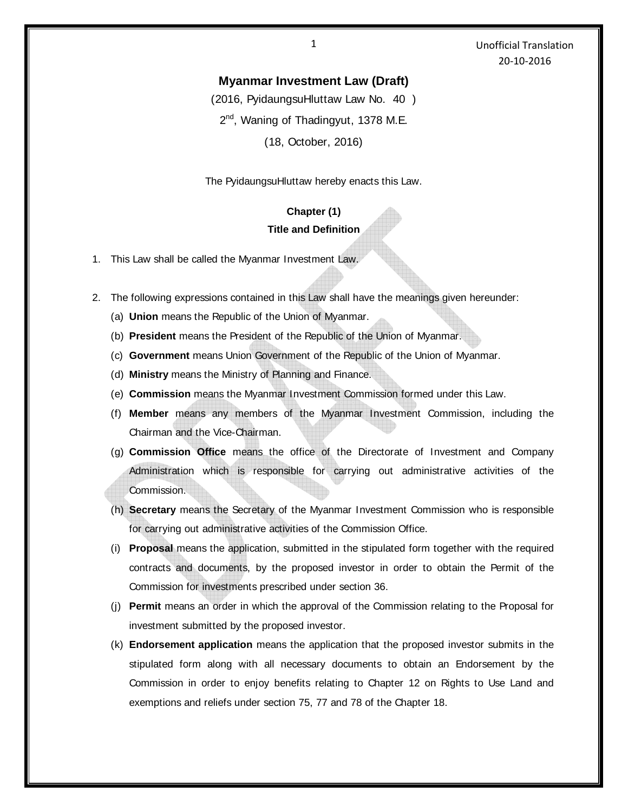1 Unofficial Translation 20-10-2016

### **Myanmar Investment Law (Draft)**

(2016, PyidaungsuHluttaw Law No. 40 )

2<sup>nd</sup>, Waning of Thadingyut, 1378 M.E.

(18, October, 2016)

The PyidaungsuHluttaw hereby enacts this Law.

## **Chapter (1) Title and Definition**

- 1. This Law shall be called the Myanmar Investment Law.
- 2. The following expressions contained in this Law shall have the meanings given hereunder:
	- (a) **Union** means the Republic of the Union of Myanmar.
	- (b) **President** means the President of the Republic of the Union of Myanmar.
	- (c) **Government** means Union Government of the Republic of the Union of Myanmar.
	- (d) **Ministry** means the Ministry of Planning and Finance.
	- (e) **Commission** means the Myanmar Investment Commission formed under this Law.
	- (f) **Member** means any members of the Myanmar Investment Commission, including the Chairman and the Vice-Chairman.
	- (g) **Commission Office** means the office of the Directorate of Investment and Company Administration which is responsible for carrying out administrative activities of the Commission.
	- (h) **Secretary** means the Secretary of the Myanmar Investment Commission who is responsible for carrying out administrative activities of the Commission Office.
	- (i) **Proposal** means the application, submitted in the stipulated form together with the required contracts and documents, by the proposed investor in order to obtain the Permit of the Commission for investments prescribed under section 36.
	- (j) **Permit** means an order in which the approval of the Commission relating to the Proposal for investment submitted by the proposed investor.
	- (k) **Endorsement application** means the application that the proposed investor submits in the stipulated form along with all necessary documents to obtain an Endorsement by the Commission in order to enjoy benefits relating to Chapter 12 on Rights to Use Land and exemptions and reliefs under section 75, 77 and 78 of the Chapter 18.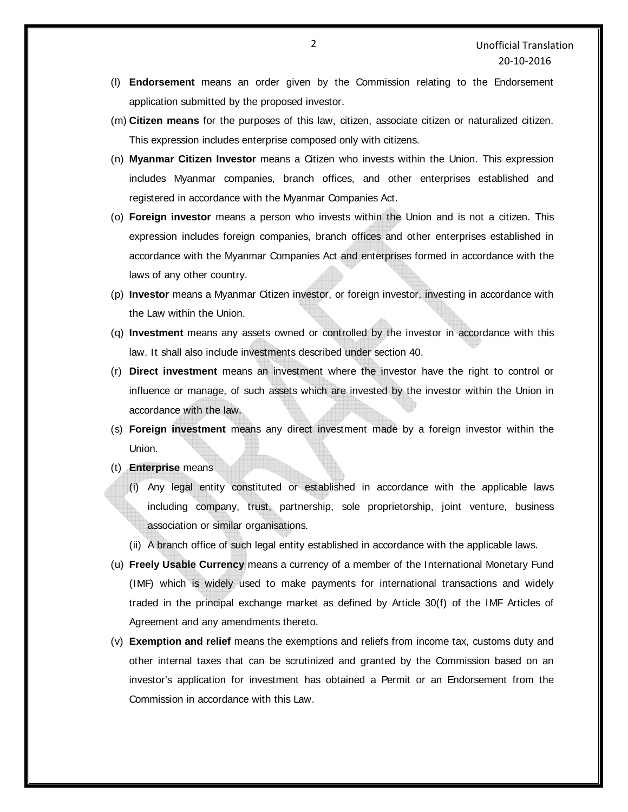- (l) **Endorsement** means an order given by the Commission relating to the Endorsement application submitted by the proposed investor.
- (m) **Citizen means** for the purposes of this law, citizen, associate citizen or naturalized citizen. This expression includes enterprise composed only with citizens.
- (n) **Myanmar Citizen Investor** means a Citizen who invests within the Union. This expression includes Myanmar companies, branch offices, and other enterprises established and registered in accordance with the Myanmar Companies Act.
- (o) **Foreign investor** means a person who invests within the Union and is not a citizen. This expression includes foreign companies, branch offices and other enterprises established in accordance with the Myanmar Companies Act and enterprises formed in accordance with the laws of any other country.
- (p) **Investor** means a Myanmar Citizen investor, or foreign investor, investing in accordance with the Law within the Union.
- (q) **Investment** means any assets owned or controlled by the investor in accordance with this law. It shall also include investments described under section 40.
- (r) **Direct investment** means an investment where the investor have the right to control or influence or manage, of such assets which are invested by the investor within the Union in accordance with the law.
- (s) **Foreign investment** means any direct investment made by a foreign investor within the Union.
- (t) **Enterprise** means
	- (i) Any legal entity constituted or established in accordance with the applicable laws including company, trust, partnership, sole proprietorship, joint venture, business association or similar organisations.
	- (ii) A branch office of such legal entity established in accordance with the applicable laws.
- (u) **Freely Usable Currency** means a currency of a member of the International Monetary Fund (IMF) which is widely used to make payments for international transactions and widely traded in the principal exchange market as defined by Article 30(f) of the IMF Articles of Agreement and any amendments thereto.
- (v) **Exemption and relief** means the exemptions and reliefs from income tax, customs duty and other internal taxes that can be scrutinized and granted by the Commission based on an investor's application for investment has obtained a Permit or an Endorsement from the Commission in accordance with this Law.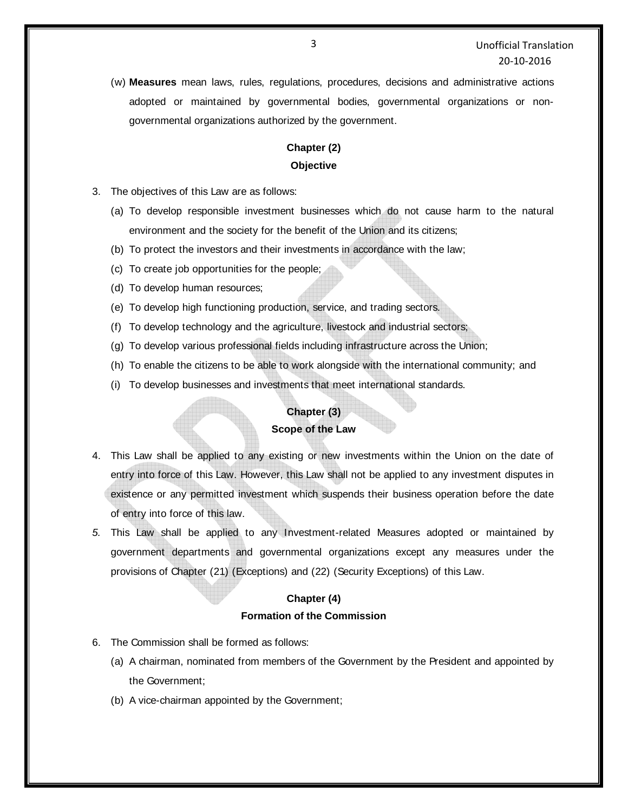(w) **Measures** mean laws, rules, regulations, procedures, decisions and administrative actions adopted or maintained by governmental bodies, governmental organizations or nongovernmental organizations authorized by the government.

# **Chapter (2) Objective**

- 3. The objectives of this Law are as follows:
	- (a) To develop responsible investment businesses which do not cause harm to the natural environment and the society for the benefit of the Union and its citizens;
	- (b) To protect the investors and their investments in accordance with the law;
	- (c) To create job opportunities for the people;
	- (d) To develop human resources;
	- (e) To develop high functioning production, service, and trading sectors.
	- (f) To develop technology and the agriculture, livestock and industrial sectors;
	- (g) To develop various professional fields including infrastructure across the Union;
	- (h) To enable the citizens to be able to work alongside with the international community; and
	- (i) To develop businesses and investments that meet international standards.

### **Chapter (3)**

#### **Scope of the Law**

- 4. This Law shall be applied to any existing or new investments within the Union on the date of entry into force of this Law. However, this Law shall not be applied to any investment disputes in existence or any permitted investment which suspends their business operation before the date of entry into force of this law.
- *5.* This Law shall be applied to any Investment-related Measures adopted or maintained by government departments and governmental organizations except any measures under the provisions of Chapter (21) (Exceptions) and (22) (Security Exceptions) of this Law.

#### **Chapter (4)**

#### **Formation of the Commission**

- 6. The Commission shall be formed as follows:
	- (a) A chairman, nominated from members of the Government by the President and appointed by the Government;
	- (b) A vice-chairman appointed by the Government;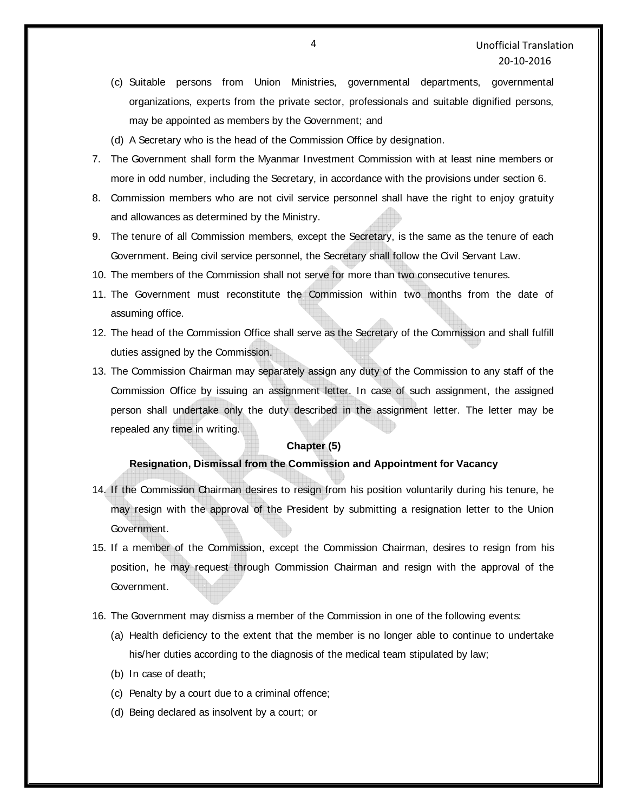- (c) Suitable persons from Union Ministries, governmental departments, governmental organizations, experts from the private sector, professionals and suitable dignified persons, may be appointed as members by the Government; and
- (d) A Secretary who is the head of the Commission Office by designation.
- 7. The Government shall form the Myanmar Investment Commission with at least nine members or more in odd number, including the Secretary, in accordance with the provisions under section 6.
- 8. Commission members who are not civil service personnel shall have the right to enjoy gratuity and allowances as determined by the Ministry.
- 9. The tenure of all Commission members, except the Secretary, is the same as the tenure of each Government. Being civil service personnel, the Secretary shall follow the Civil Servant Law.
- 10. The members of the Commission shall not serve for more than two consecutive tenures.
- 11. The Government must reconstitute the Commission within two months from the date of assuming office.
- 12. The head of the Commission Office shall serve as the Secretary of the Commission and shall fulfill duties assigned by the Commission.
- 13. The Commission Chairman may separately assign any duty of the Commission to any staff of the Commission Office by issuing an assignment letter. In case of such assignment, the assigned person shall undertake only the duty described in the assignment letter. The letter may be repealed any time in writing.

### **Chapter (5)**

#### **Resignation, Dismissal from the Commission and Appointment for Vacancy**

- 14. If the Commission Chairman desires to resign from his position voluntarily during his tenure, he may resign with the approval of the President by submitting a resignation letter to the Union Government.
- 15. If a member of the Commission, except the Commission Chairman, desires to resign from his position, he may request through Commission Chairman and resign with the approval of the Government.
- 16. The Government may dismiss a member of the Commission in one of the following events:
	- (a) Health deficiency to the extent that the member is no longer able to continue to undertake his/her duties according to the diagnosis of the medical team stipulated by law;
	- (b) In case of death;
	- (c) Penalty by a court due to a criminal offence;
	- (d) Being declared as insolvent by a court; or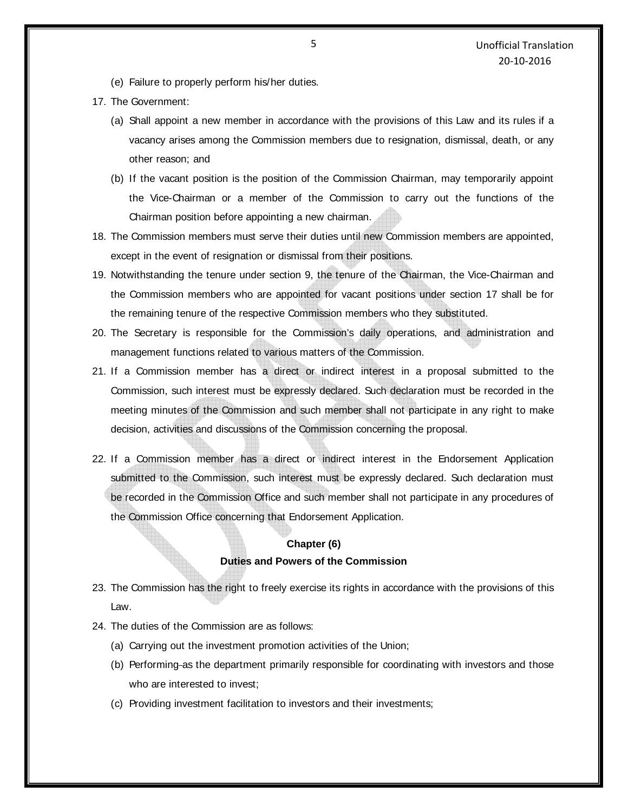- (e) Failure to properly perform his/her duties.
- 17. The Government:
	- (a) Shall appoint a new member in accordance with the provisions of this Law and its rules if a vacancy arises among the Commission members due to resignation, dismissal, death, or any other reason; and
	- (b) If the vacant position is the position of the Commission Chairman, may temporarily appoint the Vice-Chairman or a member of the Commission to carry out the functions of the Chairman position before appointing a new chairman.
- 18. The Commission members must serve their duties until new Commission members are appointed, except in the event of resignation or dismissal from their positions.
- 19. Notwithstanding the tenure under section 9, the tenure of the Chairman, the Vice-Chairman and the Commission members who are appointed for vacant positions under section 17 shall be for the remaining tenure of the respective Commission members who they substituted.
- 20. The Secretary is responsible for the Commission's daily operations, and administration and management functions related to various matters of the Commission.
- 21. If a Commission member has a direct or indirect interest in a proposal submitted to the Commission, such interest must be expressly declared. Such declaration must be recorded in the meeting minutes of the Commission and such member shall not participate in any right to make decision, activities and discussions of the Commission concerning the proposal.
- 22. If a Commission member has a direct or indirect interest in the Endorsement Application submitted to the Commission, such interest must be expressly declared. Such declaration must be recorded in the Commission Office and such member shall not participate in any procedures of the Commission Office concerning that Endorsement Application.

### **Chapter (6) Duties and Powers of the Commission**

- 23. The Commission has the right to freely exercise its rights in accordance with the provisions of this Law.
- 24. The duties of the Commission are as follows:
	- (a) Carrying out the investment promotion activities of the Union;
	- (b) Performing as the department primarily responsible for coordinating with investors and those who are interested to invest;
	- (c) Providing investment facilitation to investors and their investments;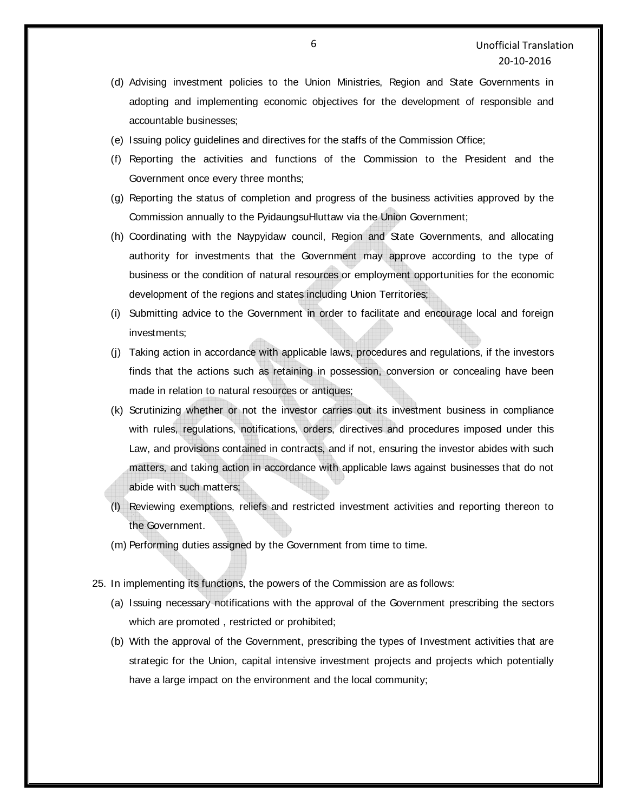- (d) Advising investment policies to the Union Ministries, Region and State Governments in adopting and implementing economic objectives for the development of responsible and accountable businesses;
- (e) Issuing policy guidelines and directives for the staffs of the Commission Office;
- (f) Reporting the activities and functions of the Commission to the President and the Government once every three months;
- (g) Reporting the status of completion and progress of the business activities approved by the Commission annually to the PyidaungsuHluttaw via the Union Government;
- (h) Coordinating with the Naypyidaw council, Region and State Governments, and allocating authority for investments that the Government may approve according to the type of business or the condition of natural resources or employment opportunities for the economic development of the regions and states including Union Territories;
- (i) Submitting advice to the Government in order to facilitate and encourage local and foreign investments;
- (j) Taking action in accordance with applicable laws, procedures and regulations, if the investors finds that the actions such as retaining in possession, conversion or concealing have been made in relation to natural resources or antiques;
- (k) Scrutinizing whether or not the investor carries out its investment business in compliance with rules, regulations, notifications, orders, directives and procedures imposed under this Law, and provisions contained in contracts, and if not, ensuring the investor abides with such matters, and taking action in accordance with applicable laws against businesses that do not abide with such matters;
- (l) Reviewing exemptions, reliefs and restricted investment activities and reporting thereon to the Government.
- (m) Performing duties assigned by the Government from time to time.
- 25. In implementing its functions, the powers of the Commission are as follows:
	- (a) Issuing necessary notifications with the approval of the Government prescribing the sectors which are promoted , restricted or prohibited;
	- (b) With the approval of the Government, prescribing the types of Investment activities that are strategic for the Union, capital intensive investment projects and projects which potentially have a large impact on the environment and the local community;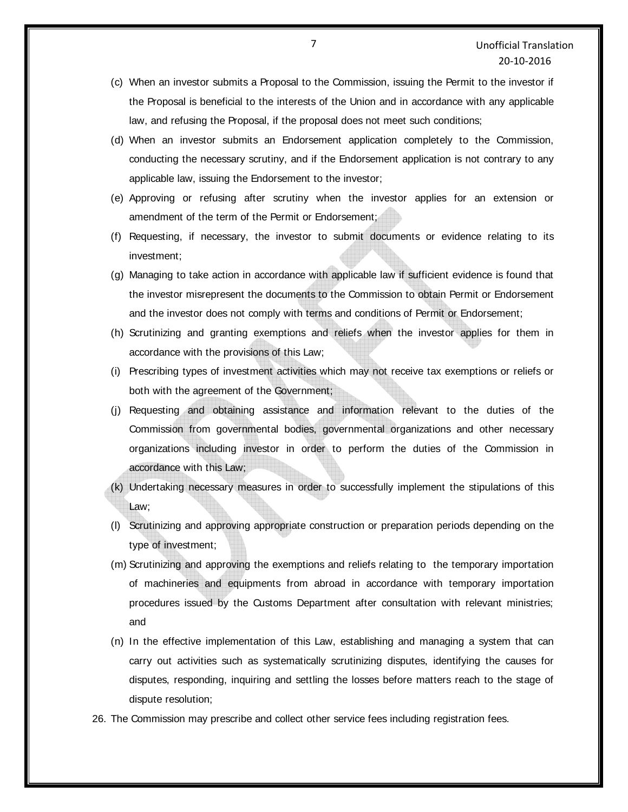- (c) When an investor submits a Proposal to the Commission, issuing the Permit to the investor if the Proposal is beneficial to the interests of the Union and in accordance with any applicable law, and refusing the Proposal, if the proposal does not meet such conditions;
- (d) When an investor submits an Endorsement application completely to the Commission, conducting the necessary scrutiny, and if the Endorsement application is not contrary to any applicable law, issuing the Endorsement to the investor;
- (e) Approving or refusing after scrutiny when the investor applies for an extension or amendment of the term of the Permit or Endorsement;
- (f) Requesting, if necessary, the investor to submit documents or evidence relating to its investment;
- (g) Managing to take action in accordance with applicable law if sufficient evidence is found that the investor misrepresent the documents to the Commission to obtain Permit or Endorsement and the investor does not comply with terms and conditions of Permit or Endorsement;
- (h) Scrutinizing and granting exemptions and reliefs when the investor applies for them in accordance with the provisions of this Law;
- (i) Prescribing types of investment activities which may not receive tax exemptions or reliefs or both with the agreement of the Government;
- (j) Requesting and obtaining assistance and information relevant to the duties of the Commission from governmental bodies, governmental organizations and other necessary organizations including investor in order to perform the duties of the Commission in accordance with this Law;
- (k) Undertaking necessary measures in order to successfully implement the stipulations of this Law;
- (l) Scrutinizing and approving appropriate construction or preparation periods depending on the type of investment;
- (m) Scrutinizing and approving the exemptions and reliefs relating to the temporary importation of machineries and equipments from abroad in accordance with temporary importation procedures issued by the Customs Department after consultation with relevant ministries; and
- (n) In the effective implementation of this Law, establishing and managing a system that can carry out activities such as systematically scrutinizing disputes, identifying the causes for disputes, responding, inquiring and settling the losses before matters reach to the stage of dispute resolution;
- 26. The Commission may prescribe and collect other service fees including registration fees.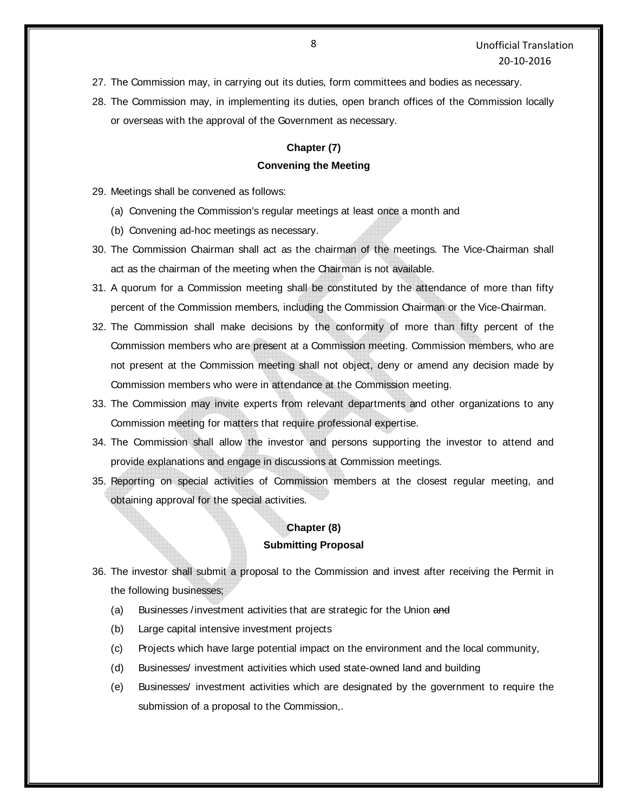- 27. The Commission may, in carrying out its duties, form committees and bodies as necessary.
- 28. The Commission may, in implementing its duties, open branch offices of the Commission locally or overseas with the approval of the Government as necessary.

## **Chapter (7) Convening the Meeting**

- 29. Meetings shall be convened as follows:
	- (a) Convening the Commission's regular meetings at least once a month and
	- (b) Convening ad-hoc meetings as necessary.
- 30. The Commission Chairman shall act as the chairman of the meetings. The Vice-Chairman shall act as the chairman of the meeting when the Chairman is not available.
- 31. A quorum for a Commission meeting shall be constituted by the attendance of more than fifty percent of the Commission members, including the Commission Chairman or the Vice-Chairman.
- 32. The Commission shall make decisions by the conformity of more than fifty percent of the Commission members who are present at a Commission meeting. Commission members, who are not present at the Commission meeting shall not object, deny or amend any decision made by Commission members who were in attendance at the Commission meeting.
- 33. The Commission may invite experts from relevant departments and other organizations to any Commission meeting for matters that require professional expertise.
- 34. The Commission shall allow the investor and persons supporting the investor to attend and provide explanations and engage in discussions at Commission meetings.
- 35. Reporting on special activities of Commission members at the closest regular meeting, and obtaining approval for the special activities.

### **Chapter (8)**

### **Submitting Proposal**

- 36. The investor shall submit a proposal to the Commission and invest after receiving the Permit in the following businesses;
	- (a) Businesses /investment activities that are strategic for the Union and
	- (b) Large capital intensive investment projects
	- (c) Projects which have large potential impact on the environment and the local community,
	- (d) Businesses/ investment activities which used state-owned land and building
	- (e) Businesses/ investment activities which are designated by the government to require the submission of a proposal to the Commission,.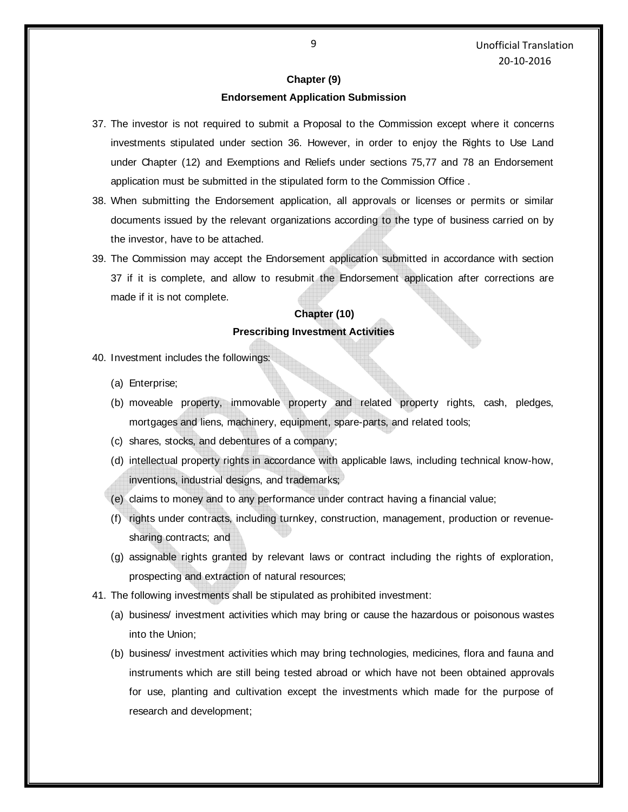#### **Chapter (9)**

#### **Endorsement Application Submission**

- 37. The investor is not required to submit a Proposal to the Commission except where it concerns investments stipulated under section 36. However, in order to enjoy the Rights to Use Land under Chapter (12) and Exemptions and Reliefs under sections 75,77 and 78 an Endorsement application must be submitted in the stipulated form to the Commission Office .
- 38. When submitting the Endorsement application, all approvals or licenses or permits or similar documents issued by the relevant organizations according to the type of business carried on by the investor, have to be attached.
- 39. The Commission may accept the Endorsement application submitted in accordance with section 37 if it is complete, and allow to resubmit the Endorsement application after corrections are made if it is not complete.

### **Chapter (10) Prescribing Investment Activities**

- 40. Investment includes the followings:
	- (a) Enterprise;
	- (b) moveable property, immovable property and related property rights, cash, pledges, mortgages and liens, machinery, equipment, spare-parts, and related tools;
	- (c) shares, stocks, and debentures of a company;
	- (d) intellectual property rights in accordance with applicable laws, including technical know-how, inventions, industrial designs, and trademarks;
	- (e) claims to money and to any performance under contract having a financial value;
	- (f) rights under contracts, including turnkey, construction, management, production or revenuesharing contracts; and
	- (g) assignable rights granted by relevant laws or contract including the rights of exploration, prospecting and extraction of natural resources;
- 41. The following investments shall be stipulated as prohibited investment:
	- (a) business/ investment activities which may bring or cause the hazardous or poisonous wastes into the Union;
	- (b) business/ investment activities which may bring technologies, medicines, flora and fauna and instruments which are still being tested abroad or which have not been obtained approvals for use, planting and cultivation except the investments which made for the purpose of research and development;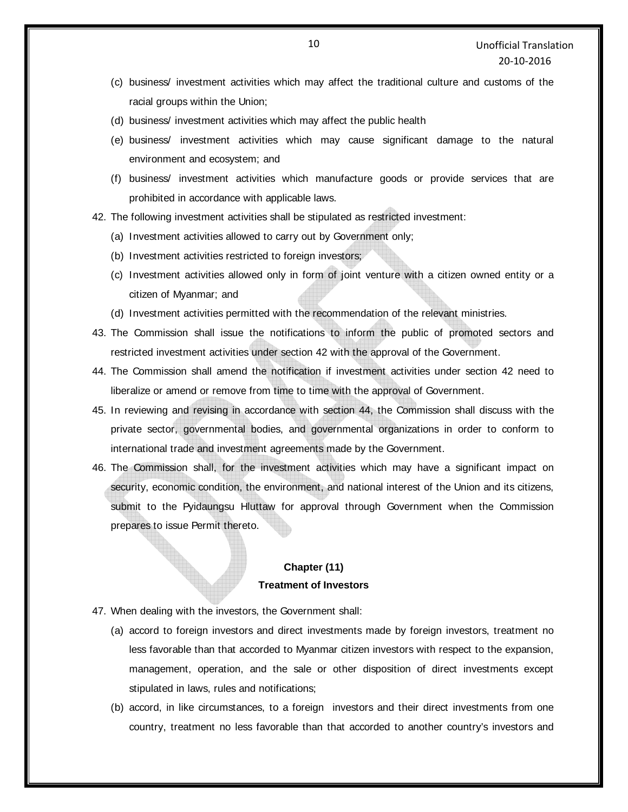- (c) business/ investment activities which may affect the traditional culture and customs of the racial groups within the Union;
- (d) business/ investment activities which may affect the public health
- (e) business/ investment activities which may cause significant damage to the natural environment and ecosystem; and
- (f) business/ investment activities which manufacture goods or provide services that are prohibited in accordance with applicable laws.
- 42. The following investment activities shall be stipulated as restricted investment:
	- (a) Investment activities allowed to carry out by Government only;
	- (b) Investment activities restricted to foreign investors;
	- (c) Investment activities allowed only in form of joint venture with a citizen owned entity or a citizen of Myanmar; and
	- (d) Investment activities permitted with the recommendation of the relevant ministries.
- 43. The Commission shall issue the notifications to inform the public of promoted sectors and restricted investment activities under section 42 with the approval of the Government.
- 44. The Commission shall amend the notification if investment activities under section 42 need to liberalize or amend or remove from time to time with the approval of Government.
- 45. In reviewing and revising in accordance with section 44, the Commission shall discuss with the private sector, governmental bodies, and governmental organizations in order to conform to international trade and investment agreements made by the Government.
- 46. The Commission shall, for the investment activities which may have a significant impact on security, economic condition, the environment, and national interest of the Union and its citizens, submit to the Pyidaungsu Hluttaw for approval through Government when the Commission prepares to issue Permit thereto.

### **Chapter (11) Treatment of Investors**

- 47. When dealing with the investors, the Government shall:
	- (a) accord to foreign investors and direct investments made by foreign investors, treatment no less favorable than that accorded to Myanmar citizen investors with respect to the expansion, management, operation, and the sale or other disposition of direct investments except stipulated in laws, rules and notifications;
	- (b) accord, in like circumstances, to a foreign investors and their direct investments from one country, treatment no less favorable than that accorded to another country's investors and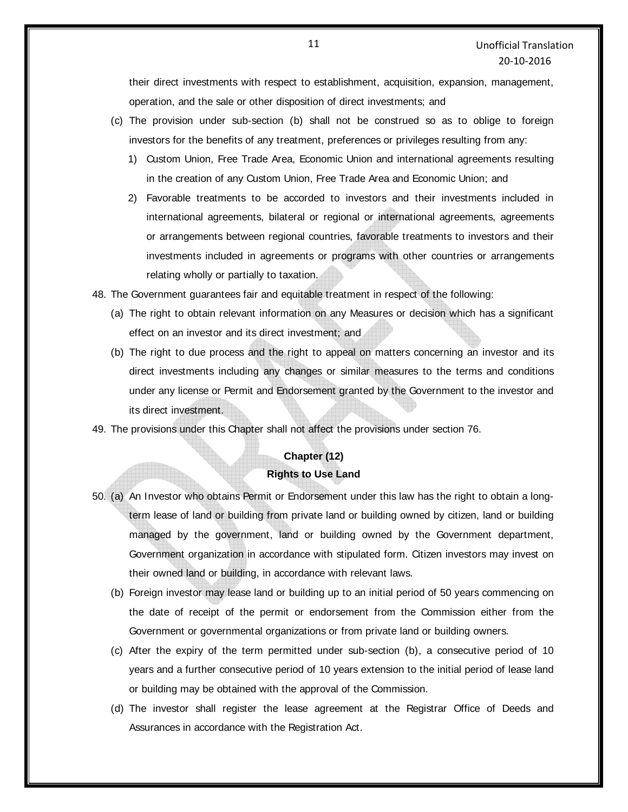their direct investments with respect to establishment, acquisition, expansion, management, operation, and the sale or other disposition of direct investments; and

- (c) The provision under sub-section (b) shall not be construed so as to oblige to foreign investors for the benefits of any treatment, preferences or privileges resulting from any:
	- 1) Custom Union, Free Trade Area, Economic Union and international agreements resulting in the creation of any Custom Union, Free Trade Area and Economic Union; and
	- 2) Favorable treatments to be accorded to investors and their investments included in international agreements, bilateral or regional or international agreements, agreements or arrangements between regional countries, favorable treatments to investors and their investments included in agreements or programs with other countries or arrangements relating wholly or partially to taxation.

48. The Government guarantees fair and equitable treatment in respect of the following:

- (a) The right to obtain relevant information on any Measures or decision which has a significant effect on an investor and its direct investment; and
- (b) The right to due process and the right to appeal on matters concerning an investor and its direct investments including any changes or similar measures to the terms and conditions under any license or Permit and Endorsement granted by the Government to the investor and its direct investment.

49. The provisions under this Chapter shall not affect the provisions under section 76.

# **Chapter (12) Rights to Use Land**

- 50. (a) An Investor who obtains Permit or Endorsement under this law has the right to obtain a longterm lease of land or building from private land or building owned by citizen, land or building managed by the government, land or building owned by the Government department, Government organization in accordance with stipulated form. Citizen investors may invest on their owned land or building, in accordance with relevant laws.
	- (b) Foreign investor may lease land or building up to an initial period of 50 years commencing on the date of receipt of the permit or endorsement from the Commission either from the Government or governmental organizations or from private land or building owners.
	- (c) After the expiry of the term permitted under sub-section (b), a consecutive period of 10 years and a further consecutive period of 10 years extension to the initial period of lease land or building may be obtained with the approval of the Commission.
	- (d) The investor shall register the lease agreement at the Registrar Office of Deeds and Assurances in accordance with the Registration Act.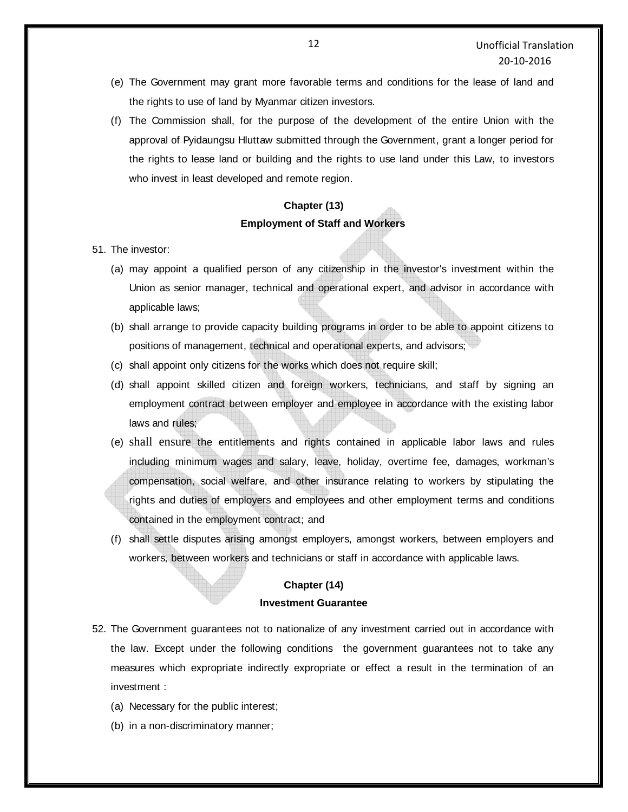- (e) The Government may grant more favorable terms and conditions for the lease of land and the rights to use of land by Myanmar citizen investors.
- (f) The Commission shall, for the purpose of the development of the entire Union with the approval of Pyidaungsu Hluttaw submitted through the Government, grant a longer period for the rights to lease land or building and the rights to use land under this Law, to investors who invest in least developed and remote region.

## **Chapter (13) Employment of Staff and Workers**

- 51. The investor:
	- (a) may appoint a qualified person of any citizenship in the investor's investment within the Union as senior manager, technical and operational expert, and advisor in accordance with applicable laws;
	- (b) shall arrange to provide capacity building programs in order to be able to appoint citizens to positions of management, technical and operational experts, and advisors;
	- (c) shall appoint only citizens for the works which does not require skill;
	- (d) shall appoint skilled citizen and foreign workers, technicians, and staff by signing an employment contract between employer and employee in accordance with the existing labor laws and rules;
	- (e) shall ensure the entitlements and rights contained in applicable labor laws and rules including minimum wages and salary, leave, holiday, overtime fee, damages, workman's compensation, social welfare, and other insurance relating to workers by stipulating the rights and duties of employers and employees and other employment terms and conditions contained in the employment contract; and
	- (f) shall settle disputes arising amongst employers, amongst workers, between employers and workers, between workers and technicians or staff in accordance with applicable laws.

## **Chapter (14) Investment Guarantee**

- 52. The Government guarantees not to nationalize of any investment carried out in accordance with the law. Except under the following conditions the government guarantees not to take any measures which expropriate indirectly expropriate or effect a result in the termination of an investment :
	- (a) Necessary for the public interest;
	- (b) in a non-discriminatory manner;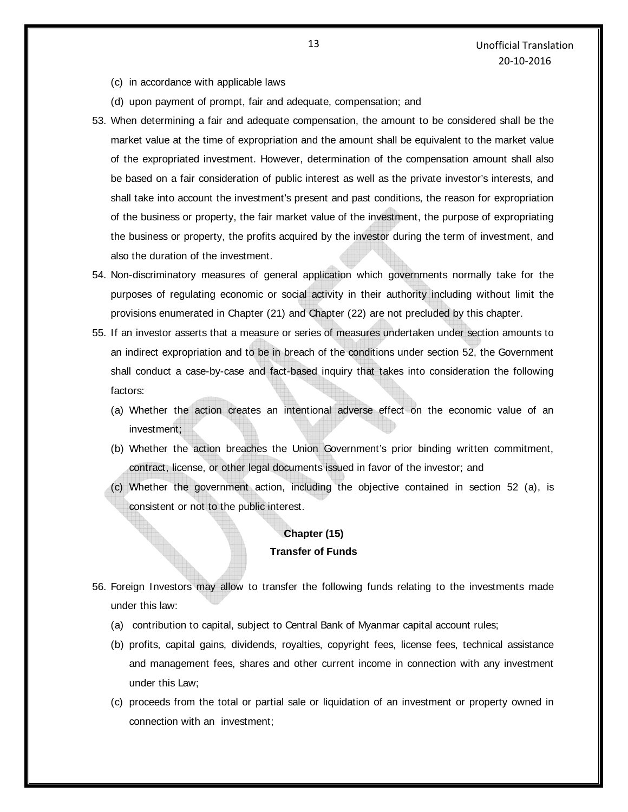- (c) in accordance with applicable laws
- (d) upon payment of prompt, fair and adequate, compensation; and
- 53. When determining a fair and adequate compensation, the amount to be considered shall be the market value at the time of expropriation and the amount shall be equivalent to the market value of the expropriated investment. However, determination of the compensation amount shall also be based on a fair consideration of public interest as well as the private investor's interests, and shall take into account the investment's present and past conditions, the reason for expropriation of the business or property, the fair market value of the investment, the purpose of expropriating the business or property, the profits acquired by the investor during the term of investment, and also the duration of the investment.
- 54. Non-discriminatory measures of general application which governments normally take for the purposes of regulating economic or social activity in their authority including without limit the provisions enumerated in Chapter (21) and Chapter (22) are not precluded by this chapter.
- 55. If an investor asserts that a measure or series of measures undertaken under section amounts to an indirect expropriation and to be in breach of the conditions under section 52, the Government shall conduct a case-by-case and fact-based inquiry that takes into consideration the following factors:
	- (a) Whether the action creates an intentional adverse effect on the economic value of an investment;
	- (b) Whether the action breaches the Union Government's prior binding written commitment, contract, license, or other legal documents issued in favor of the investor; and
	- (c) Whether the government action, including the objective contained in section 52 (a), is consistent or not to the public interest.

### **Chapter (15) Transfer of Funds**

- 56. Foreign Investors may allow to transfer the following funds relating to the investments made under this law:
	- (a) contribution to capital, subject to Central Bank of Myanmar capital account rules;
	- (b) profits, capital gains, dividends, royalties, copyright fees, license fees, technical assistance and management fees, shares and other current income in connection with any investment under this Law;
	- (c) proceeds from the total or partial sale or liquidation of an investment or property owned in connection with an investment;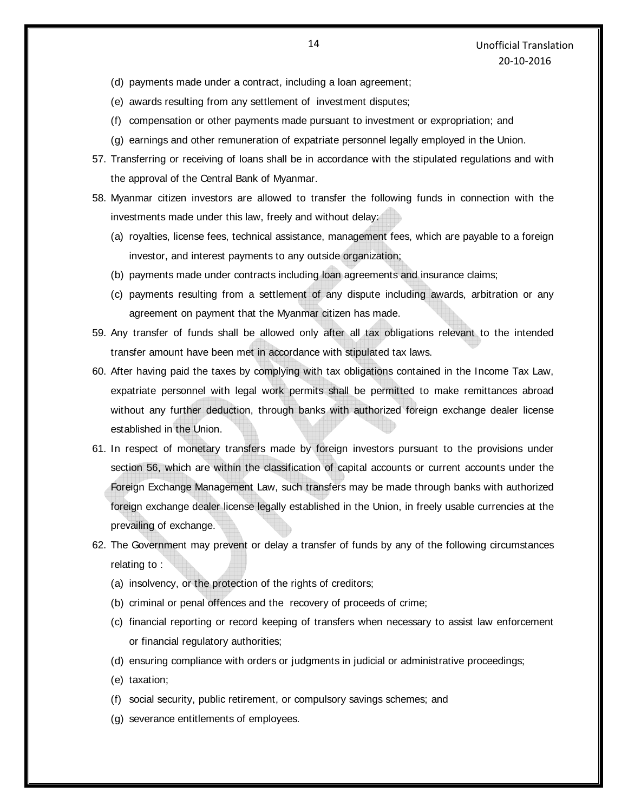- (d) payments made under a contract, including a loan agreement;
- (e) awards resulting from any settlement of investment disputes;
- (f) compensation or other payments made pursuant to investment or expropriation; and
- (g) earnings and other remuneration of expatriate personnel legally employed in the Union.
- 57. Transferring or receiving of loans shall be in accordance with the stipulated regulations and with the approval of the Central Bank of Myanmar.
- 58. Myanmar citizen investors are allowed to transfer the following funds in connection with the investments made under this law, freely and without delay:
	- (a) royalties, license fees, technical assistance, management fees, which are payable to a foreign investor, and interest payments to any outside organization;
	- (b) payments made under contracts including loan agreements and insurance claims;
	- (c) payments resulting from a settlement of any dispute including awards, arbitration or any agreement on payment that the Myanmar citizen has made.
- 59. Any transfer of funds shall be allowed only after all tax obligations relevant to the intended transfer amount have been met in accordance with stipulated tax laws.
- 60. After having paid the taxes by complying with tax obligations contained in the Income Tax Law, expatriate personnel with legal work permits shall be permitted to make remittances abroad without any further deduction, through banks with authorized foreign exchange dealer license established in the Union.
- 61. In respect of monetary transfers made by foreign investors pursuant to the provisions under section 56, which are within the classification of capital accounts or current accounts under the Foreign Exchange Management Law, such transfers may be made through banks with authorized foreign exchange dealer license legally established in the Union, in freely usable currencies at the prevailing of exchange.
- 62. The Government may prevent or delay a transfer of funds by any of the following circumstances relating to :
	- (a) insolvency, or the protection of the rights of creditors;
	- (b) criminal or penal offences and the recovery of proceeds of crime;
	- (c) financial reporting or record keeping of transfers when necessary to assist law enforcement or financial regulatory authorities;
	- (d) ensuring compliance with orders or judgments in judicial or administrative proceedings;
	- (e) taxation;
	- (f) social security, public retirement, or compulsory savings schemes; and
	- (g) severance entitlements of employees.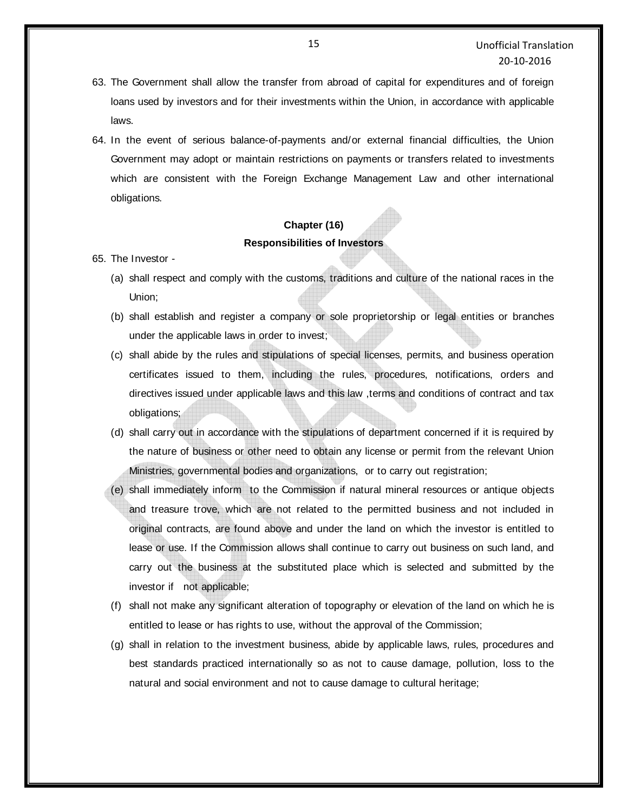- 63. The Government shall allow the transfer from abroad of capital for expenditures and of foreign loans used by investors and for their investments within the Union, in accordance with applicable laws.
- 64. In the event of serious balance-of-payments and/or external financial difficulties, the Union Government may adopt or maintain restrictions on payments or transfers related to investments which are consistent with the Foreign Exchange Management Law and other international obligations.

## **Chapter (16) Responsibilities of Investors**

- 65. The Investor
	- (a) shall respect and comply with the customs, traditions and culture of the national races in the Union;
	- (b) shall establish and register a company or sole proprietorship or legal entities or branches under the applicable laws in order to invest;
	- (c) shall abide by the rules and stipulations of special licenses, permits, and business operation certificates issued to them, including the rules, procedures, notifications, orders and directives issued under applicable laws and this law ,terms and conditions of contract and tax obligations;
	- (d) shall carry out in accordance with the stipulations of department concerned if it is required by the nature of business or other need to obtain any license or permit from the relevant Union Ministries, governmental bodies and organizations, or to carry out registration;
	- (e) shall immediately inform to the Commission if natural mineral resources or antique objects and treasure trove, which are not related to the permitted business and not included in original contracts, are found above and under the land on which the investor is entitled to lease or use. If the Commission allows shall continue to carry out business on such land, and carry out the business at the substituted place which is selected and submitted by the investor if not applicable;
	- (f) shall not make any significant alteration of topography or elevation of the land on which he is entitled to lease or has rights to use, without the approval of the Commission;
	- (g) shall in relation to the investment business, abide by applicable laws, rules, procedures and best standards practiced internationally so as not to cause damage, pollution, loss to the natural and social environment and not to cause damage to cultural heritage;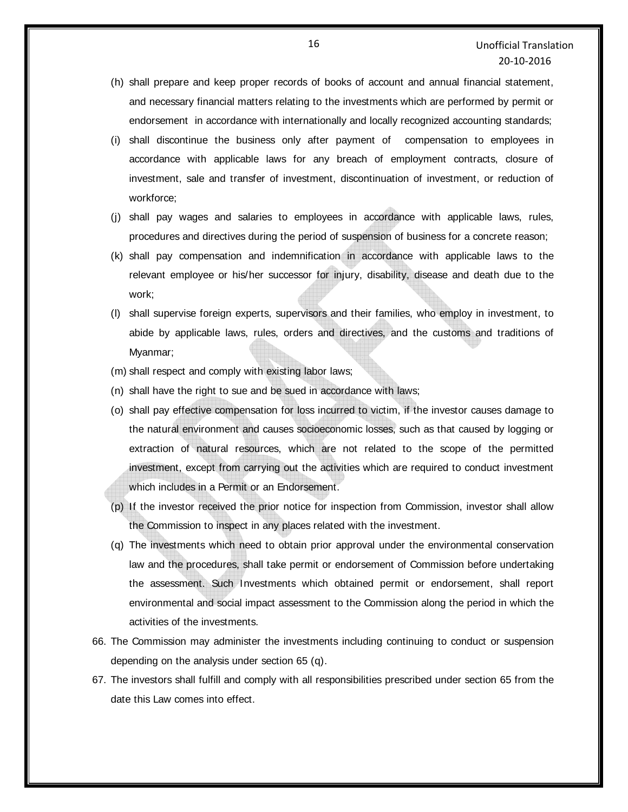- (h) shall prepare and keep proper records of books of account and annual financial statement, and necessary financial matters relating to the investments which are performed by permit or endorsement in accordance with internationally and locally recognized accounting standards;
- (i) shall discontinue the business only after payment of compensation to employees in accordance with applicable laws for any breach of employment contracts, closure of investment, sale and transfer of investment, discontinuation of investment, or reduction of workforce;
- (j) shall pay wages and salaries to employees in accordance with applicable laws, rules, procedures and directives during the period of suspension of business for a concrete reason;
- (k) shall pay compensation and indemnification in accordance with applicable laws to the relevant employee or his/her successor for injury, disability, disease and death due to the work;
- (l) shall supervise foreign experts, supervisors and their families, who employ in investment, to abide by applicable laws, rules, orders and directives, and the customs and traditions of Myanmar;
- (m) shall respect and comply with existing labor laws;
- (n) shall have the right to sue and be sued in accordance with laws;
- (o) shall pay effective compensation for loss incurred to victim, if the investor causes damage to the natural environment and causes socioeconomic losses, such as that caused by logging or extraction of natural resources, which are not related to the scope of the permitted investment, except from carrying out the activities which are required to conduct investment which includes in a Permit or an Endorsement.
- (p) If the investor received the prior notice for inspection from Commission, investor shall allow the Commission to inspect in any places related with the investment.
- (q) The investments which need to obtain prior approval under the environmental conservation law and the procedures, shall take permit or endorsement of Commission before undertaking the assessment. Such Investments which obtained permit or endorsement, shall report environmental and social impact assessment to the Commission along the period in which the activities of the investments.
- 66. The Commission may administer the investments including continuing to conduct or suspension depending on the analysis under section 65 (q).
- 67. The investors shall fulfill and comply with all responsibilities prescribed under section 65 from the date this Law comes into effect.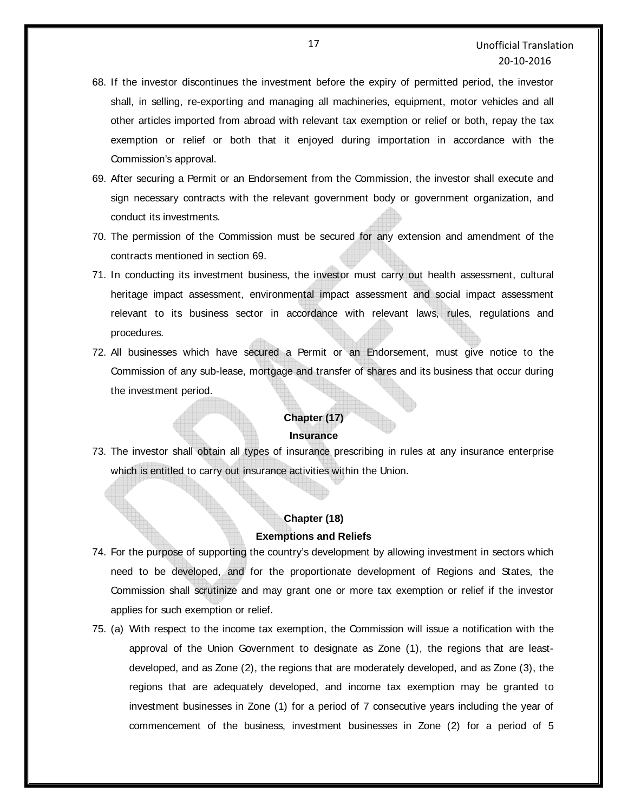- 68. If the investor discontinues the investment before the expiry of permitted period, the investor shall, in selling, re-exporting and managing all machineries, equipment, motor vehicles and all other articles imported from abroad with relevant tax exemption or relief or both, repay the tax exemption or relief or both that it enjoyed during importation in accordance with the Commission's approval.
- 69. After securing a Permit or an Endorsement from the Commission, the investor shall execute and sign necessary contracts with the relevant government body or government organization, and conduct its investments.
- 70. The permission of the Commission must be secured for any extension and amendment of the contracts mentioned in section 69.
- 71. In conducting its investment business, the investor must carry out health assessment, cultural heritage impact assessment, environmental impact assessment and social impact assessment relevant to its business sector in accordance with relevant laws, rules, regulations and procedures.
- 72. All businesses which have secured a Permit or an Endorsement, must give notice to the Commission of any sub-lease, mortgage and transfer of shares and its business that occur during the investment period.

#### **Chapter (17)**

#### **Insurance**

73. The investor shall obtain all types of insurance prescribing in rules at any insurance enterprise which is entitled to carry out insurance activities within the Union.

# **Chapter (18) Exemptions and Reliefs**

- 74. For the purpose of supporting the country's development by allowing investment in sectors which need to be developed, and for the proportionate development of Regions and States, the Commission shall scrutinize and may grant one or more tax exemption or relief if the investor applies for such exemption or relief.
- 75. (a) With respect to the income tax exemption, the Commission will issue a notification with the approval of the Union Government to designate as Zone (1), the regions that are leastdeveloped, and as Zone (2), the regions that are moderately developed, and as Zone (3), the regions that are adequately developed, and income tax exemption may be granted to investment businesses in Zone (1) for a period of 7 consecutive years including the year of commencement of the business, investment businesses in Zone (2) for a period of 5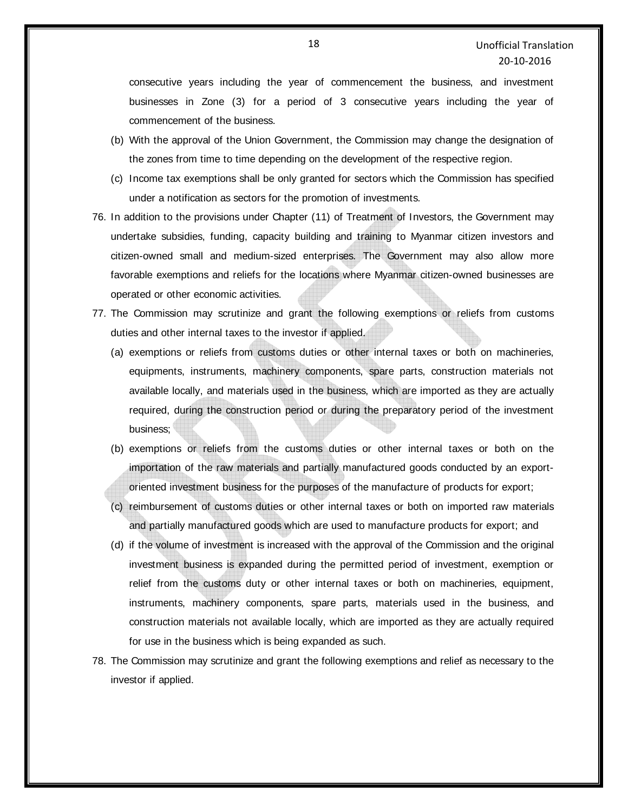consecutive years including the year of commencement the business, and investment businesses in Zone (3) for a period of 3 consecutive years including the year of commencement of the business.

- (b) With the approval of the Union Government, the Commission may change the designation of the zones from time to time depending on the development of the respective region.
- (c) Income tax exemptions shall be only granted for sectors which the Commission has specified under a notification as sectors for the promotion of investments.
- 76. In addition to the provisions under Chapter (11) of Treatment of Investors, the Government may undertake subsidies, funding, capacity building and training to Myanmar citizen investors and citizen-owned small and medium-sized enterprises. The Government may also allow more favorable exemptions and reliefs for the locations where Myanmar citizen-owned businesses are operated or other economic activities.
- 77. The Commission may scrutinize and grant the following exemptions or reliefs from customs duties and other internal taxes to the investor if applied.
	- (a) exemptions or reliefs from customs duties or other internal taxes or both on machineries, equipments, instruments, machinery components, spare parts, construction materials not available locally, and materials used in the business, which are imported as they are actually required, during the construction period or during the preparatory period of the investment business;
	- (b) exemptions or reliefs from the customs duties or other internal taxes or both on the importation of the raw materials and partially manufactured goods conducted by an exportoriented investment business for the purposes of the manufacture of products for export;
	- (c) reimbursement of customs duties or other internal taxes or both on imported raw materials and partially manufactured goods which are used to manufacture products for export; and
	- (d) if the volume of investment is increased with the approval of the Commission and the original investment business is expanded during the permitted period of investment, exemption or relief from the customs duty or other internal taxes or both on machineries, equipment, instruments, machinery components, spare parts, materials used in the business, and construction materials not available locally, which are imported as they are actually required for use in the business which is being expanded as such.
- 78. The Commission may scrutinize and grant the following exemptions and relief as necessary to the investor if applied.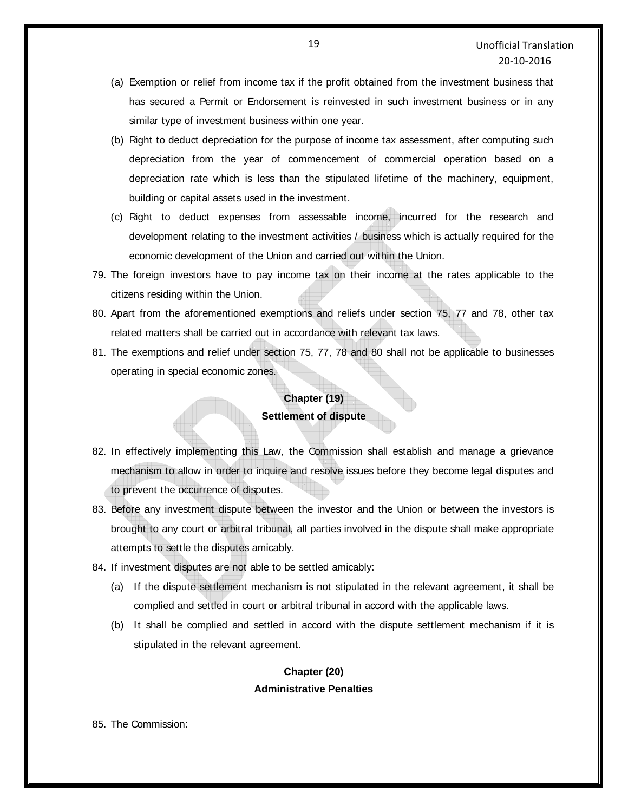- (a) Exemption or relief from income tax if the profit obtained from the investment business that has secured a Permit or Endorsement is reinvested in such investment business or in any similar type of investment business within one year.
- (b) Right to deduct depreciation for the purpose of income tax assessment, after computing such depreciation from the year of commencement of commercial operation based on a depreciation rate which is less than the stipulated lifetime of the machinery, equipment, building or capital assets used in the investment.
- (c) Right to deduct expenses from assessable income, incurred for the research and development relating to the investment activities / business which is actually required for the economic development of the Union and carried out within the Union.
- 79. The foreign investors have to pay income tax on their income at the rates applicable to the citizens residing within the Union.
- 80. Apart from the aforementioned exemptions and reliefs under section 75, 77 and 78, other tax related matters shall be carried out in accordance with relevant tax laws.
- 81. The exemptions and relief under section 75, 77, 78 and 80 shall not be applicable to businesses operating in special economic zones.

### **Chapter (19)**

#### **Settlement of dispute**

- 82. In effectively implementing this Law, the Commission shall establish and manage a grievance mechanism to allow in order to inquire and resolve issues before they become legal disputes and to prevent the occurrence of disputes.
- 83. Before any investment dispute between the investor and the Union or between the investors is brought to any court or arbitral tribunal, all parties involved in the dispute shall make appropriate attempts to settle the disputes amicably.
- 84. If investment disputes are not able to be settled amicably:
	- (a) If the dispute settlement mechanism is not stipulated in the relevant agreement, it shall be complied and settled in court or arbitral tribunal in accord with the applicable laws.
	- (b) It shall be complied and settled in accord with the dispute settlement mechanism if it is stipulated in the relevant agreement.

## **Chapter (20) Administrative Penalties**

85. The Commission: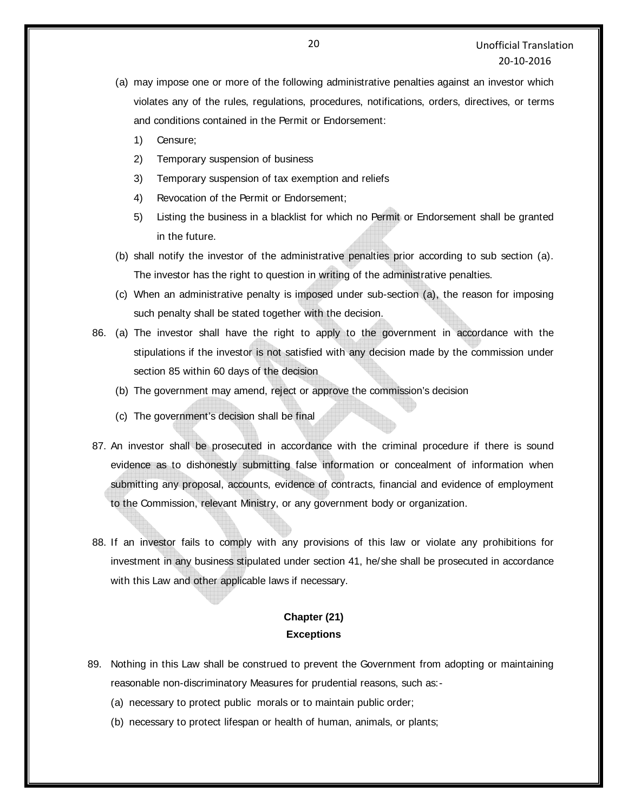- (a) may impose one or more of the following administrative penalties against an investor which violates any of the rules, regulations, procedures, notifications, orders, directives, or terms and conditions contained in the Permit or Endorsement:
	- 1) Censure;
	- 2) Temporary suspension of business
	- 3) Temporary suspension of tax exemption and reliefs
	- 4) Revocation of the Permit or Endorsement;
	- 5) Listing the business in a blacklist for which no Permit or Endorsement shall be granted in the future.
- (b) shall notify the investor of the administrative penalties prior according to sub section (a). The investor has the right to question in writing of the administrative penalties.
- (c) When an administrative penalty is imposed under sub-section (a), the reason for imposing such penalty shall be stated together with the decision.
- 86. (a) The investor shall have the right to apply to the government in accordance with the stipulations if the investor is not satisfied with any decision made by the commission under section 85 within 60 days of the decision
	- (b) The government may amend, reject or approve the commission's decision
	- (c) The government's decision shall be final
- 87. An investor shall be prosecuted in accordance with the criminal procedure if there is sound evidence as to dishonestly submitting false information or concealment of information when submitting any proposal, accounts, evidence of contracts, financial and evidence of employment to the Commission, relevant Ministry, or any government body or organization.
- 88. If an investor fails to comply with any provisions of this law or violate any prohibitions for investment in any business stipulated under section 41, he/she shall be prosecuted in accordance with this Law and other applicable laws if necessary.

## **Chapter (21) Exceptions**

- 89. Nothing in this Law shall be construed to prevent the Government from adopting or maintaining reasonable non-discriminatory Measures for prudential reasons, such as:-
	- (a) necessary to protect public morals or to maintain public order;
	- (b) necessary to protect lifespan or health of human, animals, or plants;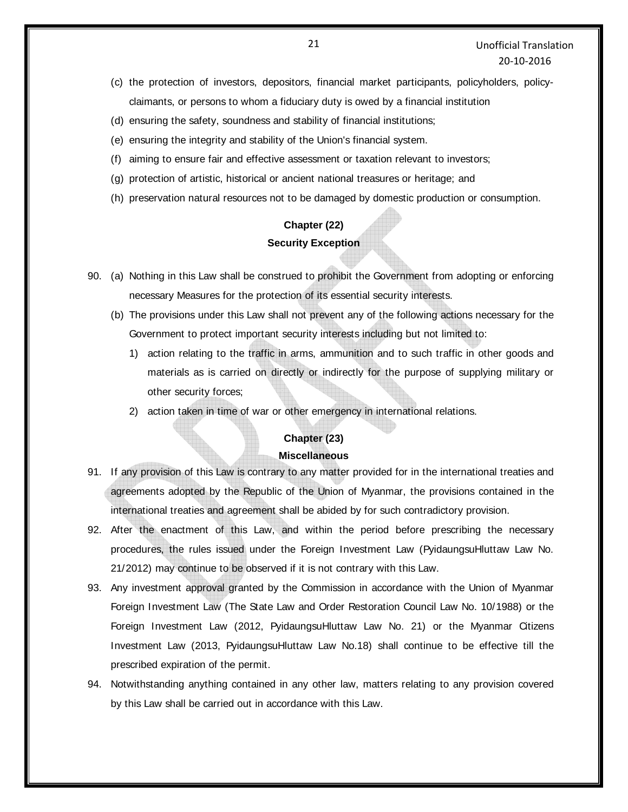- (c) the protection of investors, depositors, financial market participants, policyholders, policyclaimants, or persons to whom a fiduciary duty is owed by a financial institution
- (d) ensuring the safety, soundness and stability of financial institutions;
- (e) ensuring the integrity and stability of the Union's financial system.
- (f) aiming to ensure fair and effective assessment or taxation relevant to investors;
- (g) protection of artistic, historical or ancient national treasures or heritage; and
- (h) preservation natural resources not to be damaged by domestic production or consumption.

# **Chapter (22) Security Exception**

- 90. (a) Nothing in this Law shall be construed to prohibit the Government from adopting or enforcing necessary Measures for the protection of its essential security interests.
	- (b) The provisions under this Law shall not prevent any of the following actions necessary for the Government to protect important security interests including but not limited to:
		- 1) action relating to the traffic in arms, ammunition and to such traffic in other goods and materials as is carried on directly or indirectly for the purpose of supplying military or other security forces;
		- 2) action taken in time of war or other emergency in international relations.

#### **Chapter (23)**

#### **Miscellaneous**

- 91. If any provision of this Law is contrary to any matter provided for in the international treaties and agreements adopted by the Republic of the Union of Myanmar, the provisions contained in the international treaties and agreement shall be abided by for such contradictory provision.
- 92. After the enactment of this Law, and within the period before prescribing the necessary procedures, the rules issued under the Foreign Investment Law (PyidaungsuHluttaw Law No. 21/2012) may continue to be observed if it is not contrary with this Law.
- 93. Any investment approval granted by the Commission in accordance with the Union of Myanmar Foreign Investment Law (The State Law and Order Restoration Council Law No. 10/1988) or the Foreign Investment Law (2012, PyidaungsuHluttaw Law No. 21) or the Myanmar Citizens Investment Law (2013, PyidaungsuHluttaw Law No.18) shall continue to be effective till the prescribed expiration of the permit.
- 94. Notwithstanding anything contained in any other law, matters relating to any provision covered by this Law shall be carried out in accordance with this Law.